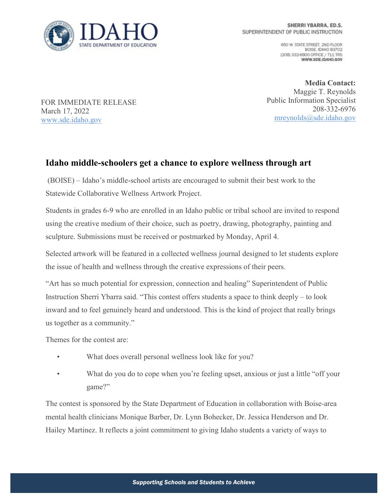

650 W. STATE STREET, 2ND FLOOR BOISE, IDAHO 83702 (208) 332-6800 OFFICE / 711 TRS WWW.SDE.IDAHO.GOV

FOR IMMEDIATE RELEASE March 17, 2022 [www.sde.idaho.gov](http://www.sde.idaho.gov/)

**Media Contact:** Maggie T. Reynolds Public Information Specialist 208-332-6976 [mreynolds@sde.idaho.gov](mailto:mreynolds@sde.idaho.gov)

## **Idaho middle-schoolers get a chance to explore wellness through art**

(BOISE) – Idaho's middle-school artists are encouraged to submit their best work to the Statewide Collaborative Wellness Artwork Project.

Students in grades 6-9 who are enrolled in an Idaho public or tribal school are invited to respond using the creative medium of their choice, such as poetry, drawing, photography, painting and sculpture. Submissions must be received or postmarked by Monday, April 4.

Selected artwork will be featured in a collected wellness journal designed to let students explore the issue of health and wellness through the creative expressions of their peers.

"Art has so much potential for expression, connection and healing" Superintendent of Public Instruction Sherri Ybarra said. "This contest offers students a space to think deeply – to look inward and to feel genuinely heard and understood. This is the kind of project that really brings us together as a community."

Themes for the contest are:

- What does overall personal wellness look like for you?
- What do you do to cope when you're feeling upset, anxious or just a little "off your game?"

The contest is sponsored by the State Department of Education in collaboration with Boise-area mental health clinicians Monique Barber, Dr. Lynn Bohecker, Dr. Jessica Henderson and Dr. Hailey Martinez. It reflects a joint commitment to giving Idaho students a variety of ways to